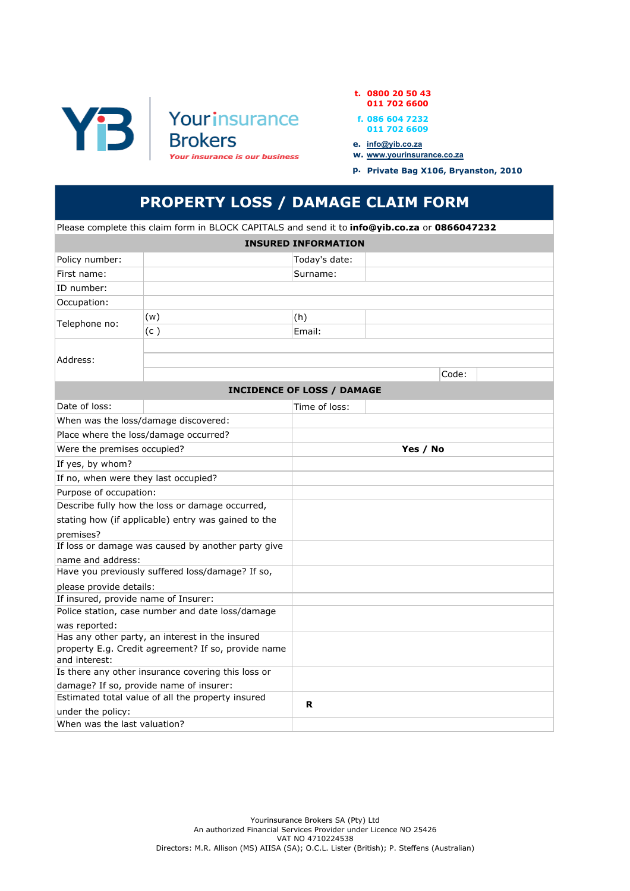



- f. 086 604 7232 011 702 6609
- e. <u>info@yib.co.za</u>
- w. www.yourinsurance.co.za
	- p. Private Bag X106, Bryanston, 2010

## PROPERTY LOSS / DAMAGE CLAIM FORM

Please complete this claim form in BLOCK CAPITALS and send it to **info@yib.co.za** or 0866047232

| <b>INSURED INFORMATION</b>                                                                   |                                                     |               |       |  |  |  |  |  |  |
|----------------------------------------------------------------------------------------------|-----------------------------------------------------|---------------|-------|--|--|--|--|--|--|
| Policy number:                                                                               |                                                     | Today's date: |       |  |  |  |  |  |  |
| First name:                                                                                  |                                                     | Surname:      |       |  |  |  |  |  |  |
| ID number:                                                                                   |                                                     |               |       |  |  |  |  |  |  |
| Occupation:                                                                                  |                                                     |               |       |  |  |  |  |  |  |
|                                                                                              | (w)                                                 | (h)           |       |  |  |  |  |  |  |
| Telephone no:                                                                                | (c)                                                 | Email:        |       |  |  |  |  |  |  |
|                                                                                              |                                                     |               |       |  |  |  |  |  |  |
| Address:                                                                                     |                                                     |               |       |  |  |  |  |  |  |
|                                                                                              |                                                     |               | Code: |  |  |  |  |  |  |
| <b>INCIDENCE OF LOSS / DAMAGE</b>                                                            |                                                     |               |       |  |  |  |  |  |  |
| Date of loss:                                                                                |                                                     | Time of loss: |       |  |  |  |  |  |  |
|                                                                                              | When was the loss/damage discovered:                |               |       |  |  |  |  |  |  |
|                                                                                              | Place where the loss/damage occurred?               |               |       |  |  |  |  |  |  |
| Were the premises occupied?                                                                  |                                                     | Yes / No      |       |  |  |  |  |  |  |
| If yes, by whom?                                                                             |                                                     |               |       |  |  |  |  |  |  |
| If no, when were they last occupied?                                                         |                                                     |               |       |  |  |  |  |  |  |
| Purpose of occupation:                                                                       |                                                     |               |       |  |  |  |  |  |  |
| Describe fully how the loss or damage occurred,                                              |                                                     |               |       |  |  |  |  |  |  |
|                                                                                              | stating how (if applicable) entry was gained to the |               |       |  |  |  |  |  |  |
| premises?                                                                                    |                                                     |               |       |  |  |  |  |  |  |
|                                                                                              | If loss or damage was caused by another party give  |               |       |  |  |  |  |  |  |
| name and address:                                                                            |                                                     |               |       |  |  |  |  |  |  |
|                                                                                              | Have you previously suffered loss/damage? If so,    |               |       |  |  |  |  |  |  |
| please provide details:                                                                      |                                                     |               |       |  |  |  |  |  |  |
| If insured, provide name of Insurer:<br>Police station, case number and date loss/damage     |                                                     |               |       |  |  |  |  |  |  |
| was reported:                                                                                |                                                     |               |       |  |  |  |  |  |  |
| Has any other party, an interest in the insured                                              |                                                     |               |       |  |  |  |  |  |  |
|                                                                                              | property E.g. Credit agreement? If so, provide name |               |       |  |  |  |  |  |  |
| and interest:                                                                                |                                                     |               |       |  |  |  |  |  |  |
| Is there any other insurance covering this loss or                                           |                                                     |               |       |  |  |  |  |  |  |
| damage? If so, provide name of insurer:<br>Estimated total value of all the property insured |                                                     |               |       |  |  |  |  |  |  |
| under the policy:                                                                            |                                                     | R             |       |  |  |  |  |  |  |
| When was the last valuation?                                                                 |                                                     |               |       |  |  |  |  |  |  |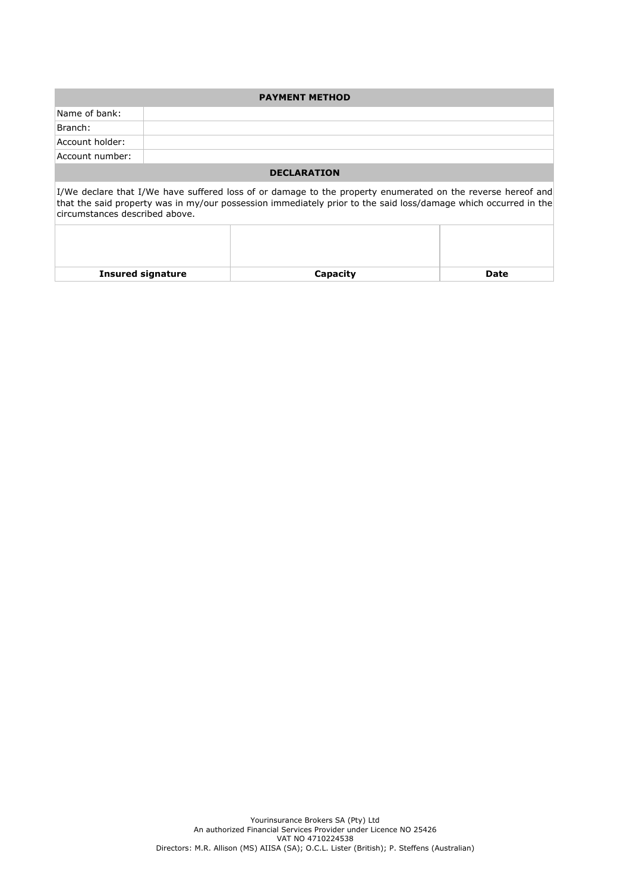| <b>PAYMENT METHOD</b>                                                                                                                                                                                                                                             |  |  |  |  |  |  |  |
|-------------------------------------------------------------------------------------------------------------------------------------------------------------------------------------------------------------------------------------------------------------------|--|--|--|--|--|--|--|
| Name of bank:                                                                                                                                                                                                                                                     |  |  |  |  |  |  |  |
| Branch:                                                                                                                                                                                                                                                           |  |  |  |  |  |  |  |
| Account holder:                                                                                                                                                                                                                                                   |  |  |  |  |  |  |  |
| Account number:                                                                                                                                                                                                                                                   |  |  |  |  |  |  |  |
| <b>DECLARATION</b>                                                                                                                                                                                                                                                |  |  |  |  |  |  |  |
| [I/We declare that I/We have suffered loss of or damage to the property enumerated on the reverse hereof and<br>that the said property was in my/our possession immediately prior to the said loss/damage which occurred in the<br>circumstances described above. |  |  |  |  |  |  |  |
|                                                                                                                                                                                                                                                                   |  |  |  |  |  |  |  |

Insured signature **Capacity** Capacity **Date**